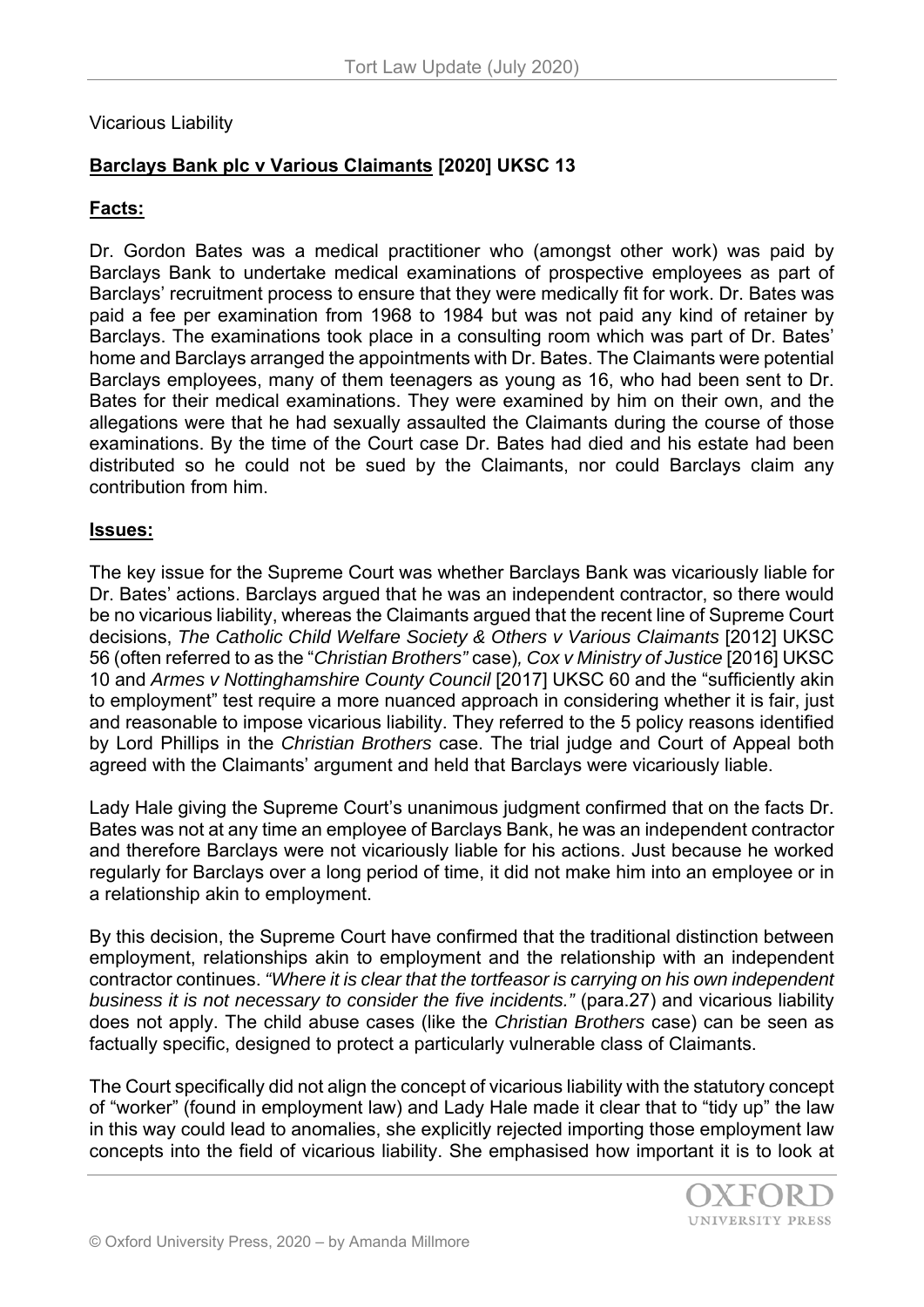# Vicarious Liability

# **Barclays Bank plc v Various Claimants [2020] UKSC 13**

### **Facts:**

Dr. Gordon Bates was a medical practitioner who (amongst other work) was paid by Barclays Bank to undertake medical examinations of prospective employees as part of Barclays' recruitment process to ensure that they were medically fit for work. Dr. Bates was paid a fee per examination from 1968 to 1984 but was not paid any kind of retainer by Barclays. The examinations took place in a consulting room which was part of Dr. Bates' home and Barclays arranged the appointments with Dr. Bates. The Claimants were potential Barclays employees, many of them teenagers as young as 16, who had been sent to Dr. Bates for their medical examinations. They were examined by him on their own, and the allegations were that he had sexually assaulted the Claimants during the course of those examinations. By the time of the Court case Dr. Bates had died and his estate had been distributed so he could not be sued by the Claimants, nor could Barclays claim any contribution from him.

#### **Issues:**

The key issue for the Supreme Court was whether Barclays Bank was vicariously liable for Dr. Bates' actions. Barclays argued that he was an independent contractor, so there would be no vicarious liability, whereas the Claimants argued that the recent line of Supreme Court decisions, *The Catholic Child Welfare Society & Others v Various Claimants* [2012] UKSC 56 (often referred to as the "*Christian Brothers"* case)*, Cox v Ministry of Justice* [2016] UKSC 10 and *Armes v Nottinghamshire County Council* [2017] UKSC 60 and the "sufficiently akin to employment" test require a more nuanced approach in considering whether it is fair, just and reasonable to impose vicarious liability. They referred to the 5 policy reasons identified by Lord Phillips in the *Christian Brothers* case. The trial judge and Court of Appeal both agreed with the Claimants' argument and held that Barclays were vicariously liable.

Lady Hale giving the Supreme Court's unanimous judgment confirmed that on the facts Dr. Bates was not at any time an employee of Barclays Bank, he was an independent contractor and therefore Barclays were not vicariously liable for his actions. Just because he worked regularly for Barclays over a long period of time, it did not make him into an employee or in a relationship akin to employment.

By this decision, the Supreme Court have confirmed that the traditional distinction between employment, relationships akin to employment and the relationship with an independent contractor continues. *"Where it is clear that the tortfeasor is carrying on his own independent business it is not necessary to consider the five incidents."* (para.27) and vicarious liability does not apply. The child abuse cases (like the *Christian Brothers* case) can be seen as factually specific, designed to protect a particularly vulnerable class of Claimants.

The Court specifically did not align the concept of vicarious liability with the statutory concept of "worker" (found in employment law) and Lady Hale made it clear that to "tidy up" the law in this way could lead to anomalies, she explicitly rejected importing those employment law concepts into the field of vicarious liability. She emphasised how important it is to look at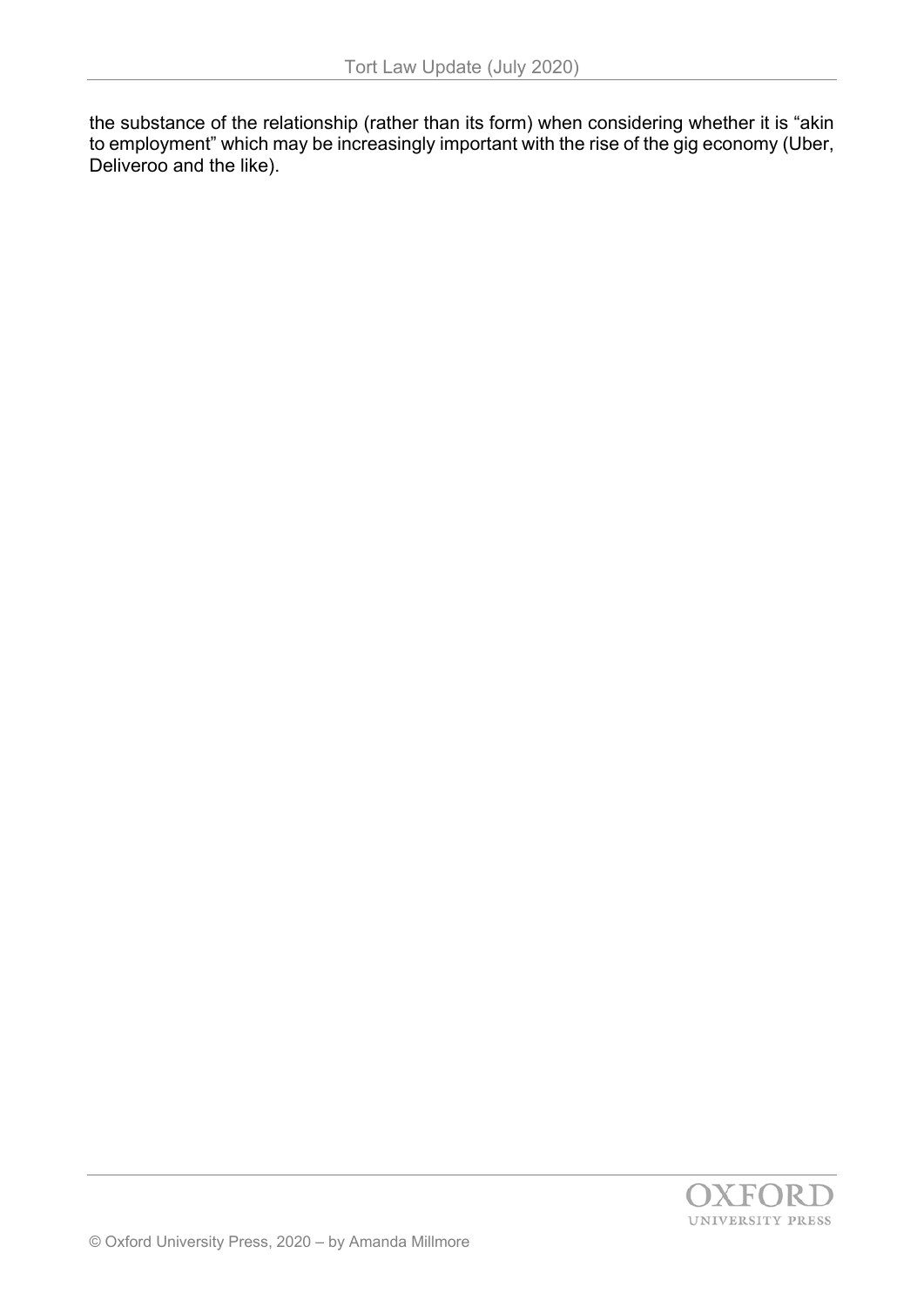the substance of the relationship (rather than its form) when considering whether it is "akin to employment" which may be increasingly important with the rise of the gig economy (Uber, Deliveroo and the like).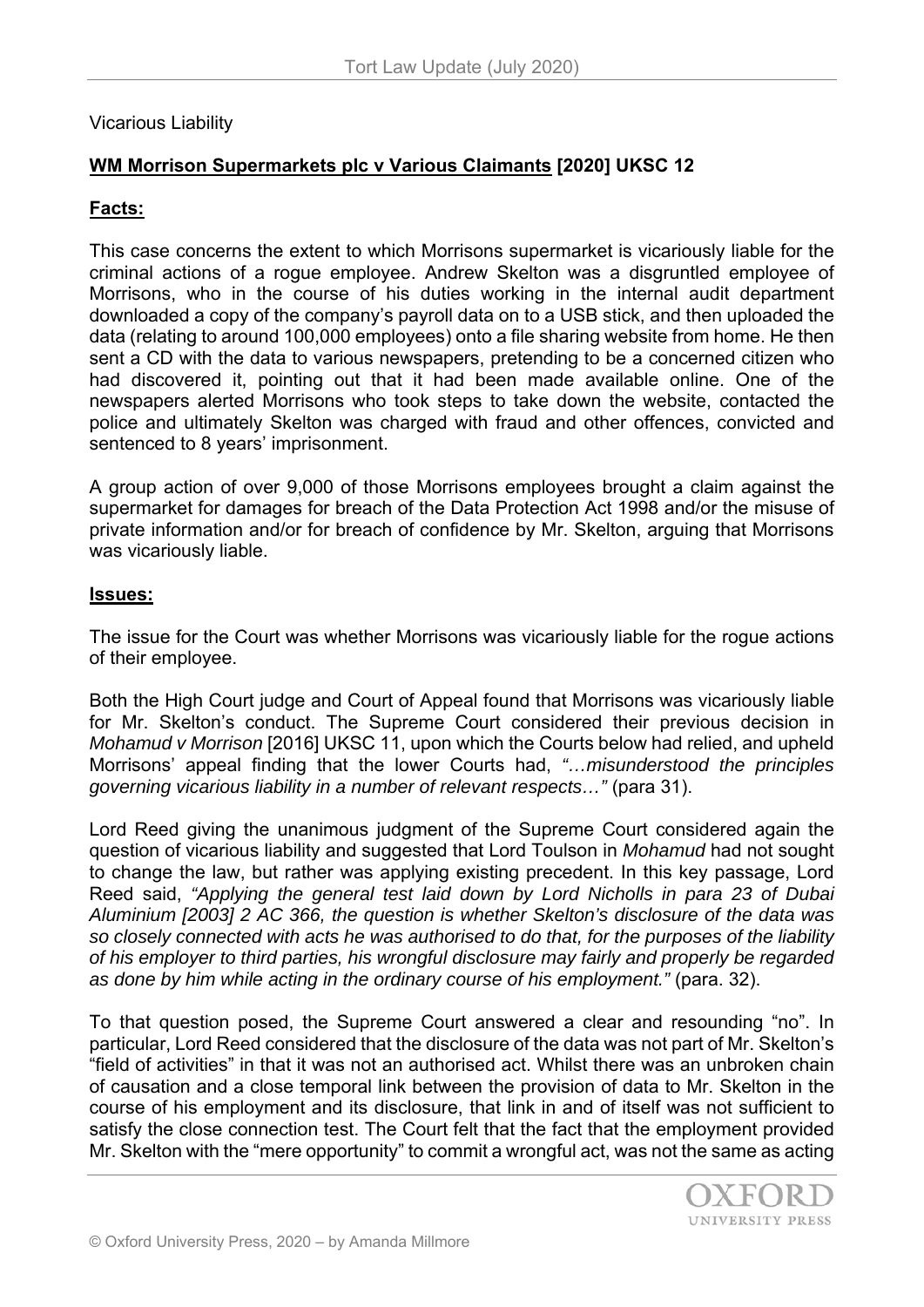## Vicarious Liability

# **WM Morrison Supermarkets plc v Various Claimants [2020] UKSC 12**

## **Facts:**

This case concerns the extent to which Morrisons supermarket is vicariously liable for the criminal actions of a rogue employee. Andrew Skelton was a disgruntled employee of Morrisons, who in the course of his duties working in the internal audit department downloaded a copy of the company's payroll data on to a USB stick, and then uploaded the data (relating to around 100,000 employees) onto a file sharing website from home. He then sent a CD with the data to various newspapers, pretending to be a concerned citizen who had discovered it, pointing out that it had been made available online. One of the newspapers alerted Morrisons who took steps to take down the website, contacted the police and ultimately Skelton was charged with fraud and other offences, convicted and sentenced to 8 years' imprisonment.

A group action of over 9,000 of those Morrisons employees brought a claim against the supermarket for damages for breach of the Data Protection Act 1998 and/or the misuse of private information and/or for breach of confidence by Mr. Skelton, arguing that Morrisons was vicariously liable.

### **Issues:**

The issue for the Court was whether Morrisons was vicariously liable for the rogue actions of their employee.

Both the High Court judge and Court of Appeal found that Morrisons was vicariously liable for Mr. Skelton's conduct. The Supreme Court considered their previous decision in *Mohamud v Morrison* [2016] UKSC 11, upon which the Courts below had relied, and upheld Morrisons' appeal finding that the lower Courts had, *"…misunderstood the principles governing vicarious liability in a number of relevant respects…"* (para 31).

Lord Reed giving the unanimous judgment of the Supreme Court considered again the question of vicarious liability and suggested that Lord Toulson in *Mohamud* had not sought to change the law, but rather was applying existing precedent. In this key passage, Lord Reed said, *"Applying the general test laid down by Lord Nicholls in para 23 of Dubai Aluminium [2003] 2 AC 366, the question is whether Skelton's disclosure of the data was so closely connected with acts he was authorised to do that, for the purposes of the liability of his employer to third parties, his wrongful disclosure may fairly and properly be regarded as done by him while acting in the ordinary course of his employment."* (para. 32).

To that question posed, the Supreme Court answered a clear and resounding "no". In particular, Lord Reed considered that the disclosure of the data was not part of Mr. Skelton's "field of activities" in that it was not an authorised act. Whilst there was an unbroken chain of causation and a close temporal link between the provision of data to Mr. Skelton in the course of his employment and its disclosure, that link in and of itself was not sufficient to satisfy the close connection test. The Court felt that the fact that the employment provided Mr. Skelton with the "mere opportunity" to commit a wrongful act, was not the same as acting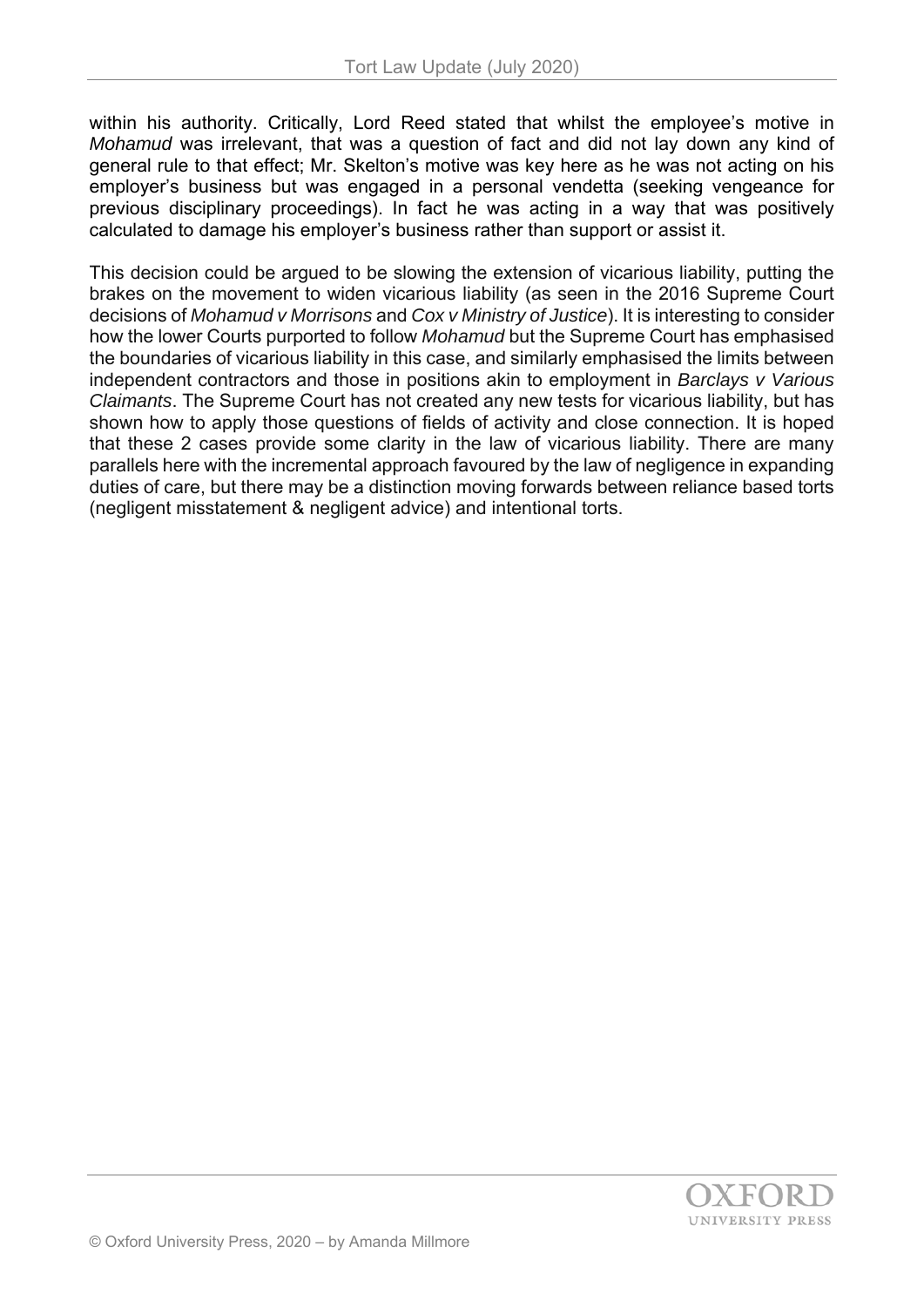within his authority. Critically, Lord Reed stated that whilst the employee's motive in *Mohamud* was irrelevant, that was a question of fact and did not lay down any kind of general rule to that effect; Mr. Skelton's motive was key here as he was not acting on his employer's business but was engaged in a personal vendetta (seeking vengeance for previous disciplinary proceedings). In fact he was acting in a way that was positively calculated to damage his employer's business rather than support or assist it.

This decision could be argued to be slowing the extension of vicarious liability, putting the brakes on the movement to widen vicarious liability (as seen in the 2016 Supreme Court decisions of *Mohamud v Morrisons* and *Cox v Ministry of Justice*). It is interesting to consider how the lower Courts purported to follow *Mohamud* but the Supreme Court has emphasised the boundaries of vicarious liability in this case, and similarly emphasised the limits between independent contractors and those in positions akin to employment in *Barclays v Various Claimants*. The Supreme Court has not created any new tests for vicarious liability, but has shown how to apply those questions of fields of activity and close connection. It is hoped that these 2 cases provide some clarity in the law of vicarious liability. There are many parallels here with the incremental approach favoured by the law of negligence in expanding duties of care, but there may be a distinction moving forwards between reliance based torts (negligent misstatement & negligent advice) and intentional torts.

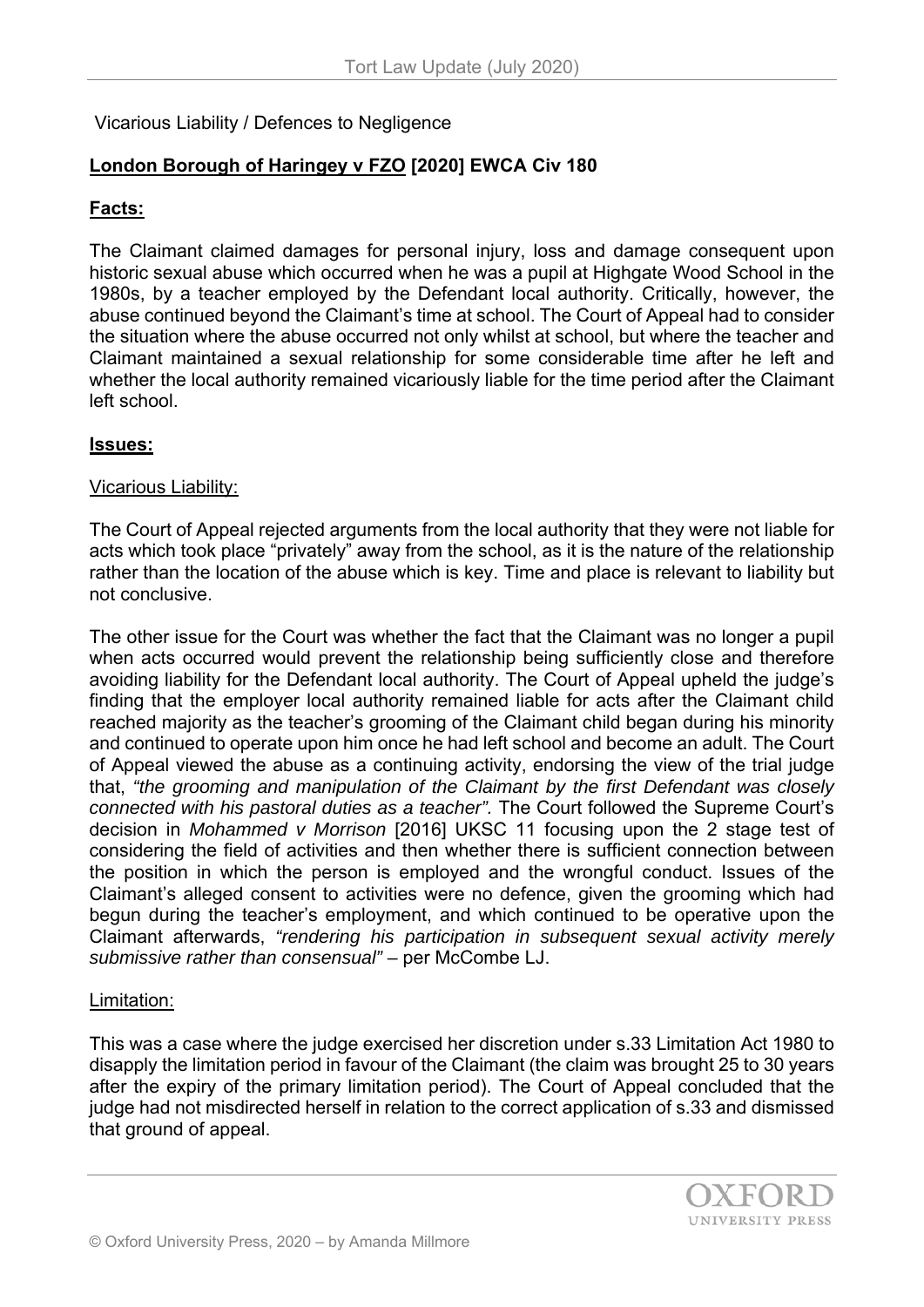Vicarious Liability / Defences to Negligence

# **London Borough of Haringey v FZO [2020] EWCA Civ 180**

## **Facts:**

The Claimant claimed damages for personal injury, loss and damage consequent upon historic sexual abuse which occurred when he was a pupil at Highgate Wood School in the 1980s, by a teacher employed by the Defendant local authority. Critically, however, the abuse continued beyond the Claimant's time at school. The Court of Appeal had to consider the situation where the abuse occurred not only whilst at school, but where the teacher and Claimant maintained a sexual relationship for some considerable time after he left and whether the local authority remained vicariously liable for the time period after the Claimant left school.

## **Issues:**

## Vicarious Liability:

The Court of Appeal rejected arguments from the local authority that they were not liable for acts which took place "privately" away from the school, as it is the nature of the relationship rather than the location of the abuse which is key. Time and place is relevant to liability but not conclusive.

The other issue for the Court was whether the fact that the Claimant was no longer a pupil when acts occurred would prevent the relationship being sufficiently close and therefore avoiding liability for the Defendant local authority. The Court of Appeal upheld the judge's finding that the employer local authority remained liable for acts after the Claimant child reached majority as the teacher's grooming of the Claimant child began during his minority and continued to operate upon him once he had left school and become an adult. The Court of Appeal viewed the abuse as a continuing activity, endorsing the view of the trial judge that, *"the grooming and manipulation of the Claimant by the first Defendant was closely connected with his pastoral duties as a teacher".* The Court followed the Supreme Court's decision in *Mohammed v Morrison* [2016] UKSC 11 focusing upon the 2 stage test of considering the field of activities and then whether there is sufficient connection between the position in which the person is employed and the wrongful conduct. Issues of the Claimant's alleged consent to activities were no defence, given the grooming which had begun during the teacher's employment, and which continued to be operative upon the Claimant afterwards, *"rendering his participation in subsequent sexual activity merely submissive rather than consensual" –* per McCombe LJ.

### Limitation:

This was a case where the judge exercised her discretion under s.33 Limitation Act 1980 to disapply the limitation period in favour of the Claimant (the claim was brought 25 to 30 years after the expiry of the primary limitation period). The Court of Appeal concluded that the judge had not misdirected herself in relation to the correct application of s.33 and dismissed that ground of appeal.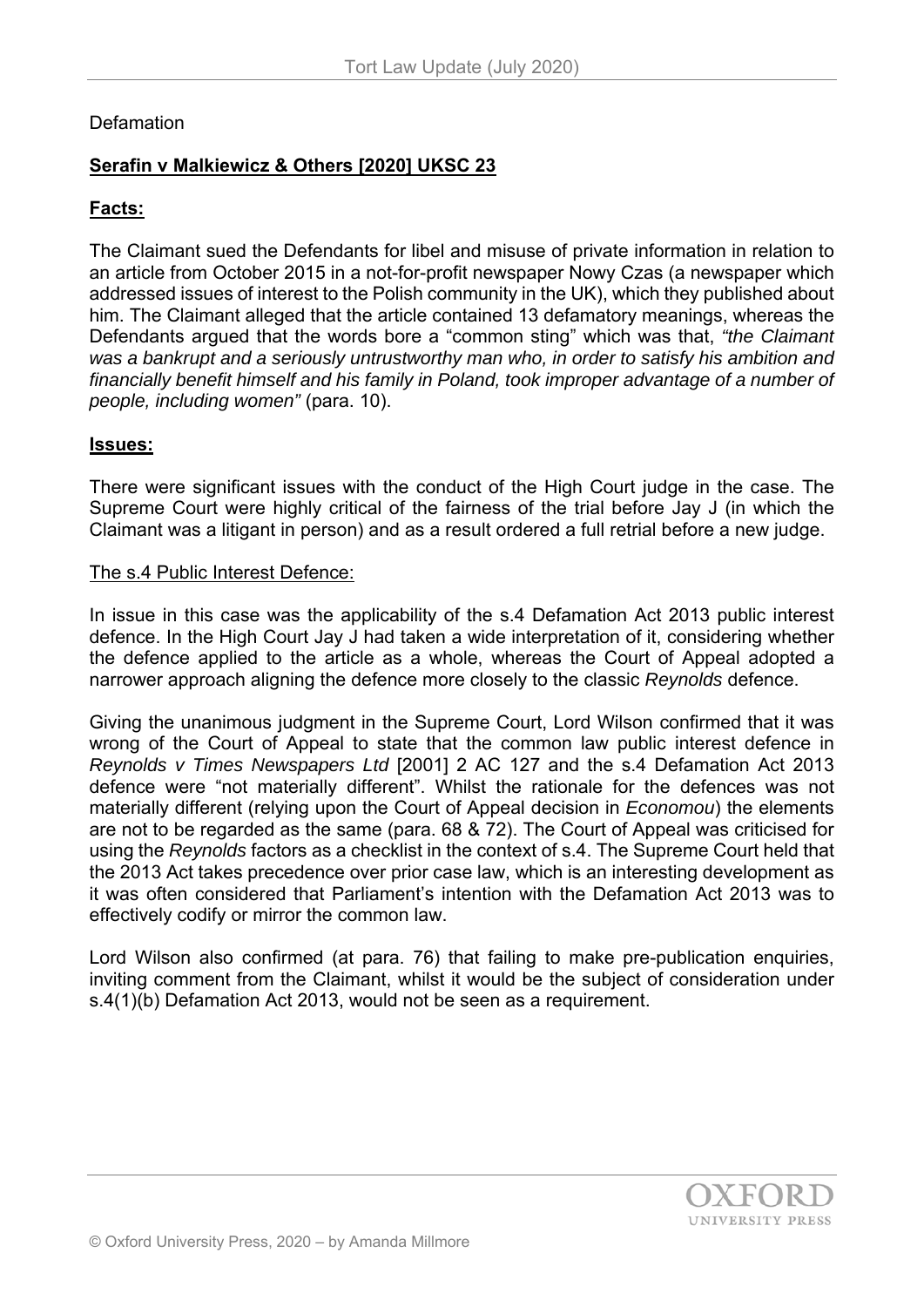# **Defamation**

# **Serafin v Malkiewicz & Others [2020] UKSC 23**

# **Facts:**

The Claimant sued the Defendants for libel and misuse of private information in relation to an article from October 2015 in a not-for-profit newspaper Nowy Czas (a newspaper which addressed issues of interest to the Polish community in the UK), which they published about him. The Claimant alleged that the article contained 13 defamatory meanings, whereas the Defendants argued that the words bore a "common sting" which was that, *"the Claimant was a bankrupt and a seriously untrustworthy man who, in order to satisfy his ambition and financially benefit himself and his family in Poland, took improper advantage of a number of people, including women"* (para. 10).

# **Issues:**

There were significant issues with the conduct of the High Court judge in the case. The Supreme Court were highly critical of the fairness of the trial before Jay J (in which the Claimant was a litigant in person) and as a result ordered a full retrial before a new judge.

### The s.4 Public Interest Defence:

In issue in this case was the applicability of the s.4 Defamation Act 2013 public interest defence. In the High Court Jay J had taken a wide interpretation of it, considering whether the defence applied to the article as a whole, whereas the Court of Appeal adopted a narrower approach aligning the defence more closely to the classic *Reynolds* defence.

Giving the unanimous judgment in the Supreme Court, Lord Wilson confirmed that it was wrong of the Court of Appeal to state that the common law public interest defence in *Reynolds v Times Newspapers Ltd* [2001] 2 AC 127 and the s.4 Defamation Act 2013 defence were "not materially different". Whilst the rationale for the defences was not materially different (relying upon the Court of Appeal decision in *Economou*) the elements are not to be regarded as the same (para. 68 & 72). The Court of Appeal was criticised for using the *Reynolds* factors as a checklist in the context of s.4. The Supreme Court held that the 2013 Act takes precedence over prior case law, which is an interesting development as it was often considered that Parliament's intention with the Defamation Act 2013 was to effectively codify or mirror the common law.

Lord Wilson also confirmed (at para. 76) that failing to make pre-publication enquiries, inviting comment from the Claimant, whilst it would be the subject of consideration under s.4(1)(b) Defamation Act 2013, would not be seen as a requirement.

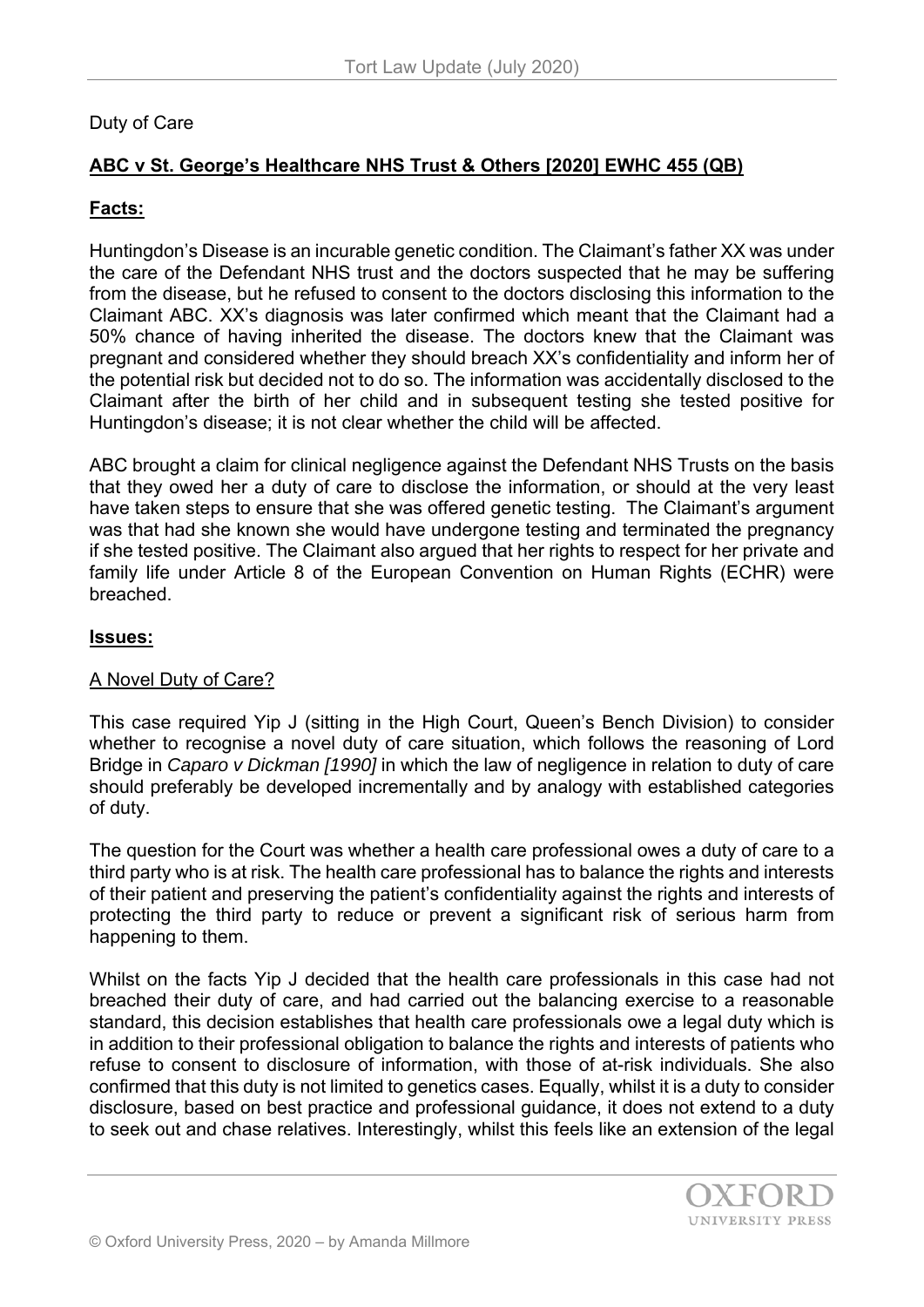# Duty of Care

# **ABC v St. George's Healthcare NHS Trust & Others [2020] EWHC 455 (QB)**

# **Facts:**

Huntingdon's Disease is an incurable genetic condition. The Claimant's father XX was under the care of the Defendant NHS trust and the doctors suspected that he may be suffering from the disease, but he refused to consent to the doctors disclosing this information to the Claimant ABC. XX's diagnosis was later confirmed which meant that the Claimant had a 50% chance of having inherited the disease. The doctors knew that the Claimant was pregnant and considered whether they should breach XX's confidentiality and inform her of the potential risk but decided not to do so. The information was accidentally disclosed to the Claimant after the birth of her child and in subsequent testing she tested positive for Huntingdon's disease; it is not clear whether the child will be affected.

ABC brought a claim for clinical negligence against the Defendant NHS Trusts on the basis that they owed her a duty of care to disclose the information, or should at the very least have taken steps to ensure that she was offered genetic testing. The Claimant's argument was that had she known she would have undergone testing and terminated the pregnancy if she tested positive. The Claimant also argued that her rights to respect for her private and family life under Article 8 of the European Convention on Human Rights (ECHR) were breached.

## **Issues:**

# A Novel Duty of Care?

This case required Yip J (sitting in the High Court, Queen's Bench Division) to consider whether to recognise a novel duty of care situation, which follows the reasoning of Lord Bridge in *Caparo v Dickman [1990]* in which the law of negligence in relation to duty of care should preferably be developed incrementally and by analogy with established categories of duty.

The question for the Court was whether a health care professional owes a duty of care to a third party who is at risk. The health care professional has to balance the rights and interests of their patient and preserving the patient's confidentiality against the rights and interests of protecting the third party to reduce or prevent a significant risk of serious harm from happening to them.

Whilst on the facts Yip J decided that the health care professionals in this case had not breached their duty of care, and had carried out the balancing exercise to a reasonable standard, this decision establishes that health care professionals owe a legal duty which is in addition to their professional obligation to balance the rights and interests of patients who refuse to consent to disclosure of information, with those of at-risk individuals. She also confirmed that this duty is not limited to genetics cases. Equally, whilst it is a duty to consider disclosure, based on best practice and professional guidance, it does not extend to a duty to seek out and chase relatives. Interestingly, whilst this feels like an extension of the legal

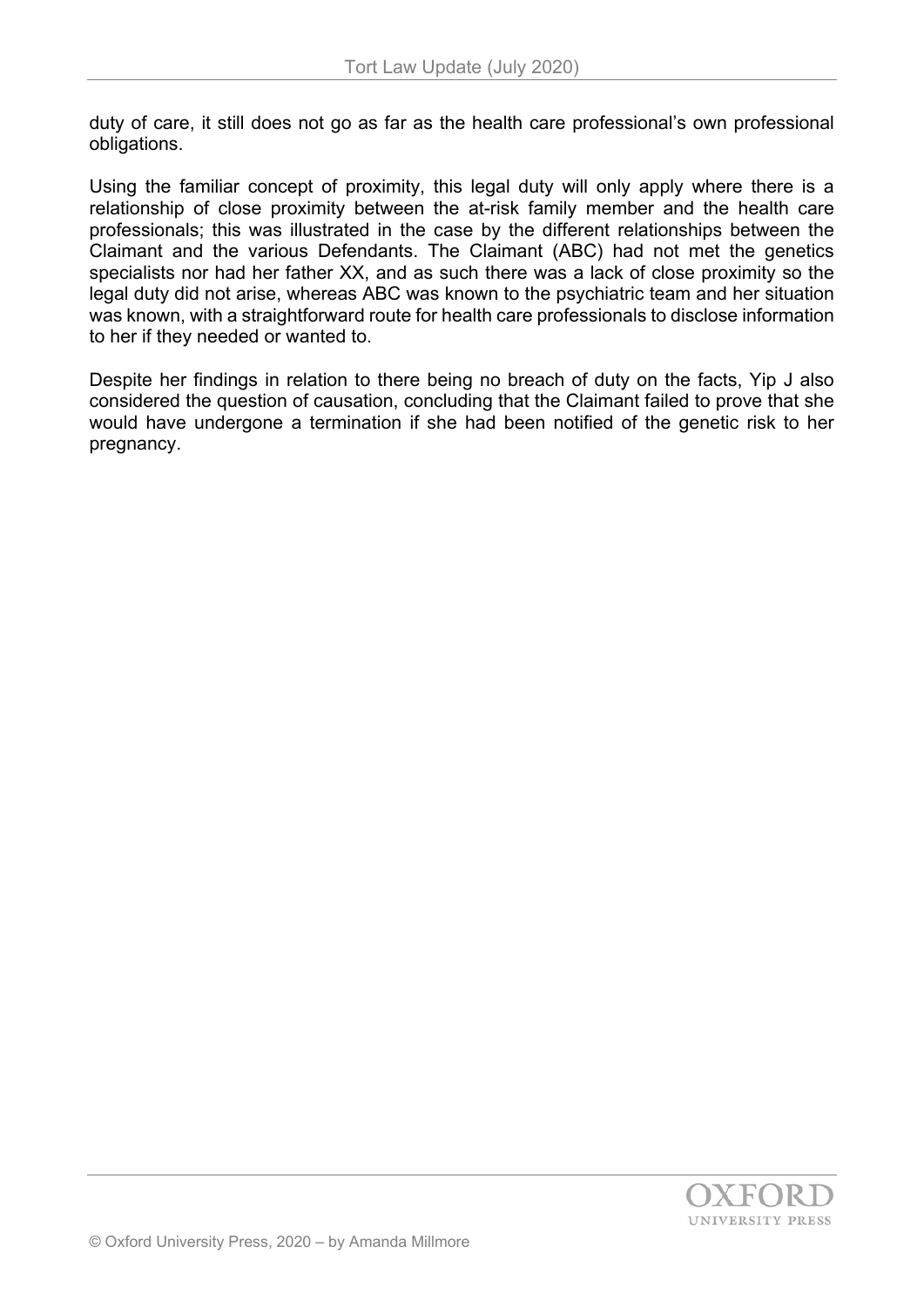duty of care, it still does not go as far as the health care professional's own professional obligations.

Using the familiar concept of proximity, this legal duty will only apply where there is a relationship of close proximity between the at-risk family member and the health care professionals; this was illustrated in the case by the different relationships between the Claimant and the various Defendants. The Claimant (ABC) had not met the genetics specialists nor had her father XX, and as such there was a lack of close proximity so the legal duty did not arise, whereas ABC was known to the psychiatric team and her situation was known, with a straightforward route for health care professionals to disclose information to her if they needed or wanted to.

Despite her findings in relation to there being no breach of duty on the facts, Yip J also considered the question of causation, concluding that the Claimant failed to prove that she would have undergone a termination if she had been notified of the genetic risk to her pregnancy.

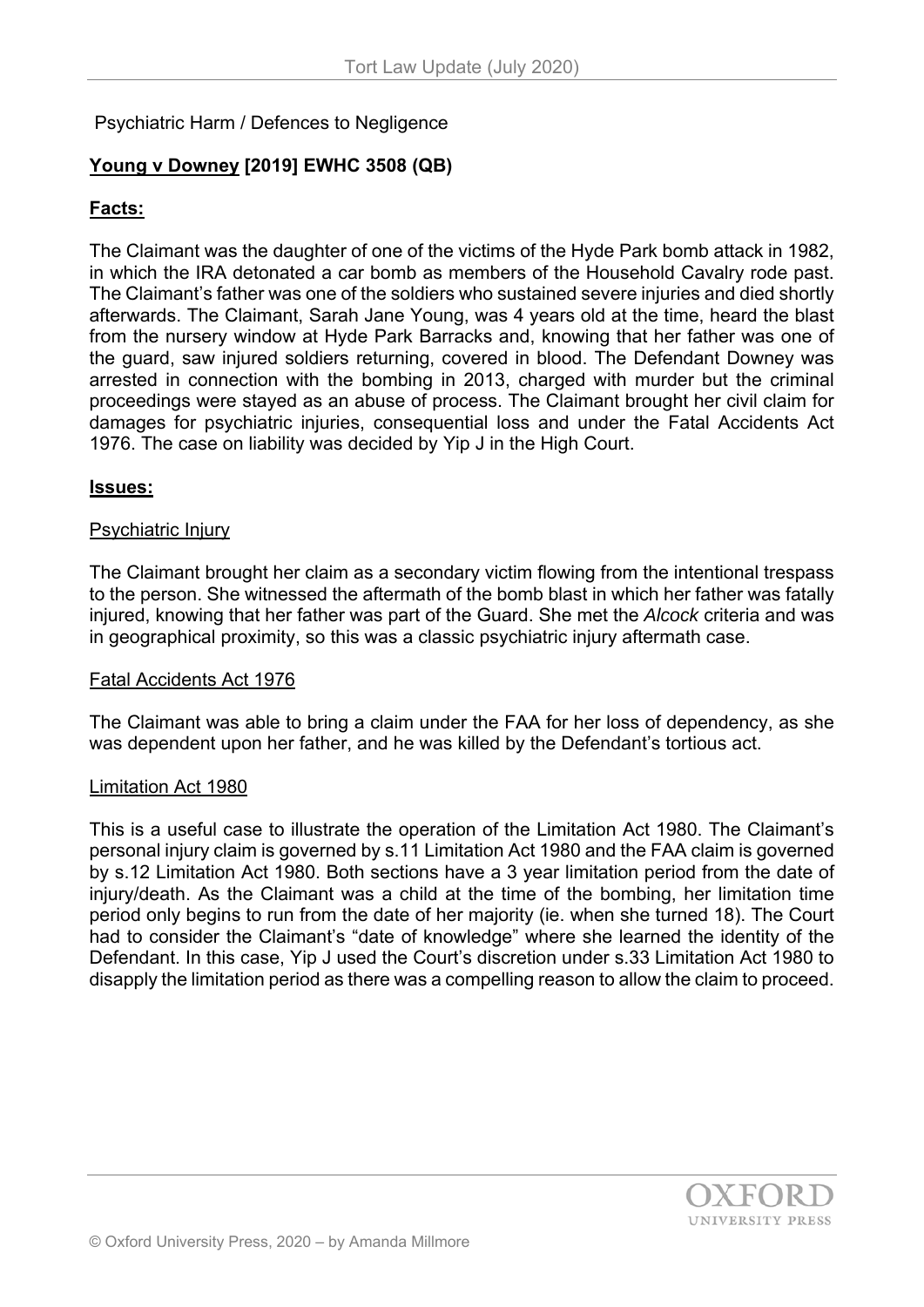Psychiatric Harm / Defences to Negligence

# **Young v Downey [2019] EWHC 3508 (QB)**

## **Facts:**

The Claimant was the daughter of one of the victims of the Hyde Park bomb attack in 1982, in which the IRA detonated a car bomb as members of the Household Cavalry rode past. The Claimant's father was one of the soldiers who sustained severe injuries and died shortly afterwards. The Claimant, Sarah Jane Young, was 4 years old at the time, heard the blast from the nursery window at Hyde Park Barracks and, knowing that her father was one of the guard, saw injured soldiers returning, covered in blood. The Defendant Downey was arrested in connection with the bombing in 2013, charged with murder but the criminal proceedings were stayed as an abuse of process. The Claimant brought her civil claim for damages for psychiatric injuries, consequential loss and under the Fatal Accidents Act 1976. The case on liability was decided by Yip J in the High Court.

### **Issues:**

#### Psychiatric Injury

The Claimant brought her claim as a secondary victim flowing from the intentional trespass to the person. She witnessed the aftermath of the bomb blast in which her father was fatally injured, knowing that her father was part of the Guard. She met the *Alcock* criteria and was in geographical proximity, so this was a classic psychiatric injury aftermath case.

### Fatal Accidents Act 1976

The Claimant was able to bring a claim under the FAA for her loss of dependency, as she was dependent upon her father, and he was killed by the Defendant's tortious act.

#### Limitation Act 1980

This is a useful case to illustrate the operation of the Limitation Act 1980. The Claimant's personal injury claim is governed by s.11 Limitation Act 1980 and the FAA claim is governed by s.12 Limitation Act 1980. Both sections have a 3 year limitation period from the date of injury/death. As the Claimant was a child at the time of the bombing, her limitation time period only begins to run from the date of her majority (ie. when she turned 18). The Court had to consider the Claimant's "date of knowledge" where she learned the identity of the Defendant. In this case, Yip J used the Court's discretion under s.33 Limitation Act 1980 to disapply the limitation period as there was a compelling reason to allow the claim to proceed.

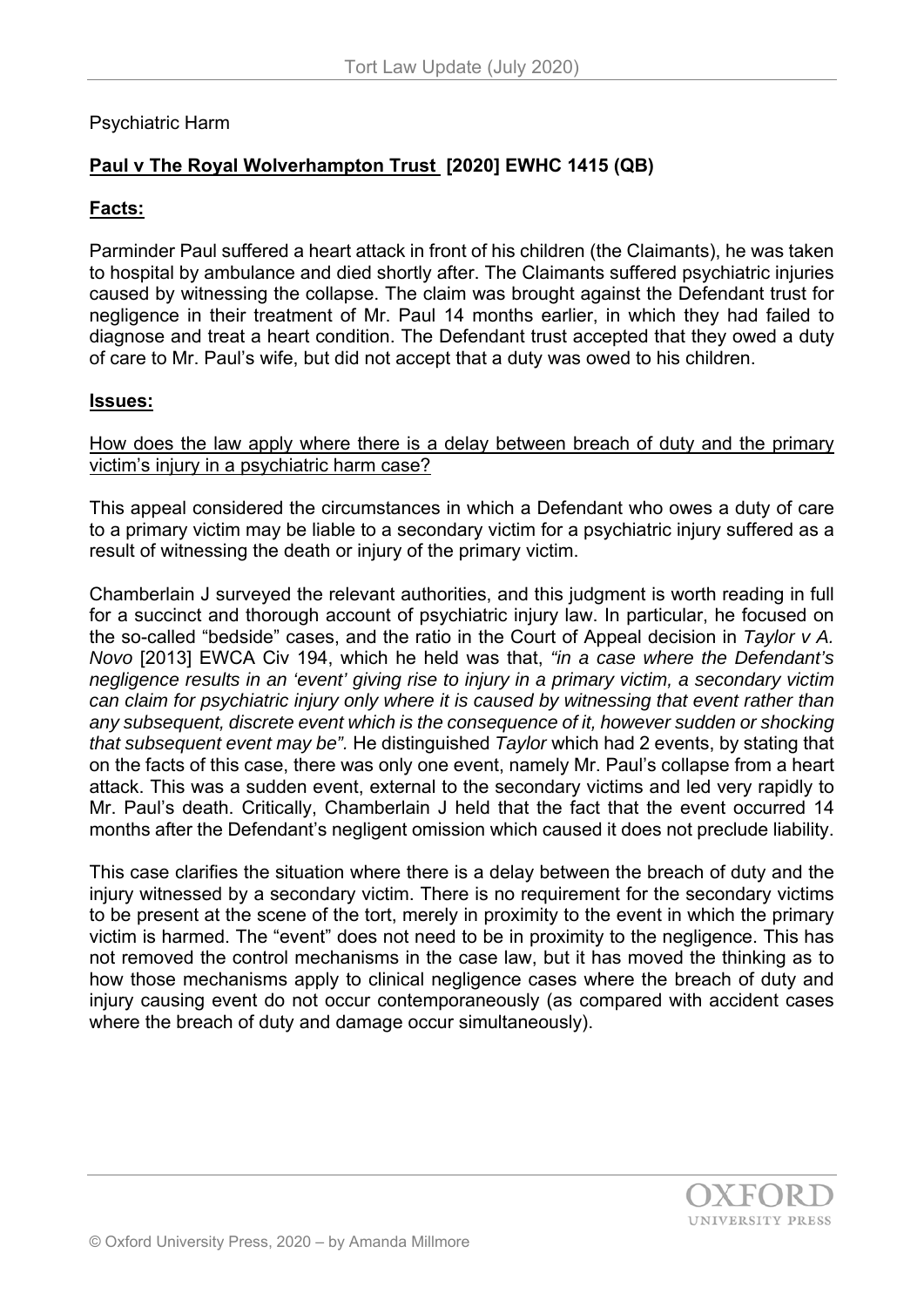## Psychiatric Harm

# **Paul v The Royal Wolverhampton Trust [2020] EWHC 1415 (QB)**

### **Facts:**

Parminder Paul suffered a heart attack in front of his children (the Claimants), he was taken to hospital by ambulance and died shortly after. The Claimants suffered psychiatric injuries caused by witnessing the collapse. The claim was brought against the Defendant trust for negligence in their treatment of Mr. Paul 14 months earlier, in which they had failed to diagnose and treat a heart condition. The Defendant trust accepted that they owed a duty of care to Mr. Paul's wife, but did not accept that a duty was owed to his children.

### **Issues:**

How does the law apply where there is a delay between breach of duty and the primary victim's injury in a psychiatric harm case?

This appeal considered the circumstances in which a Defendant who owes a duty of care to a primary victim may be liable to a secondary victim for a psychiatric injury suffered as a result of witnessing the death or injury of the primary victim.

Chamberlain J surveyed the relevant authorities, and this judgment is worth reading in full for a succinct and thorough account of psychiatric injury law. In particular, he focused on the so-called "bedside" cases, and the ratio in the Court of Appeal decision in *Taylor v A. Novo* [2013] EWCA Civ 194, which he held was that, *"in a case where the Defendant's negligence results in an 'event' giving rise to injury in a primary victim, a secondary victim can claim for psychiatric injury only where it is caused by witnessing that event rather than any subsequent, discrete event which is the consequence of it, however sudden or shocking that subsequent event may be".* He distinguished *Taylor* which had 2 events, by stating that on the facts of this case, there was only one event, namely Mr. Paul's collapse from a heart attack. This was a sudden event, external to the secondary victims and led very rapidly to Mr. Paul's death. Critically, Chamberlain J held that the fact that the event occurred 14 months after the Defendant's negligent omission which caused it does not preclude liability.

This case clarifies the situation where there is a delay between the breach of duty and the injury witnessed by a secondary victim. There is no requirement for the secondary victims to be present at the scene of the tort, merely in proximity to the event in which the primary victim is harmed. The "event" does not need to be in proximity to the negligence. This has not removed the control mechanisms in the case law, but it has moved the thinking as to how those mechanisms apply to clinical negligence cases where the breach of duty and injury causing event do not occur contemporaneously (as compared with accident cases where the breach of duty and damage occur simultaneously).

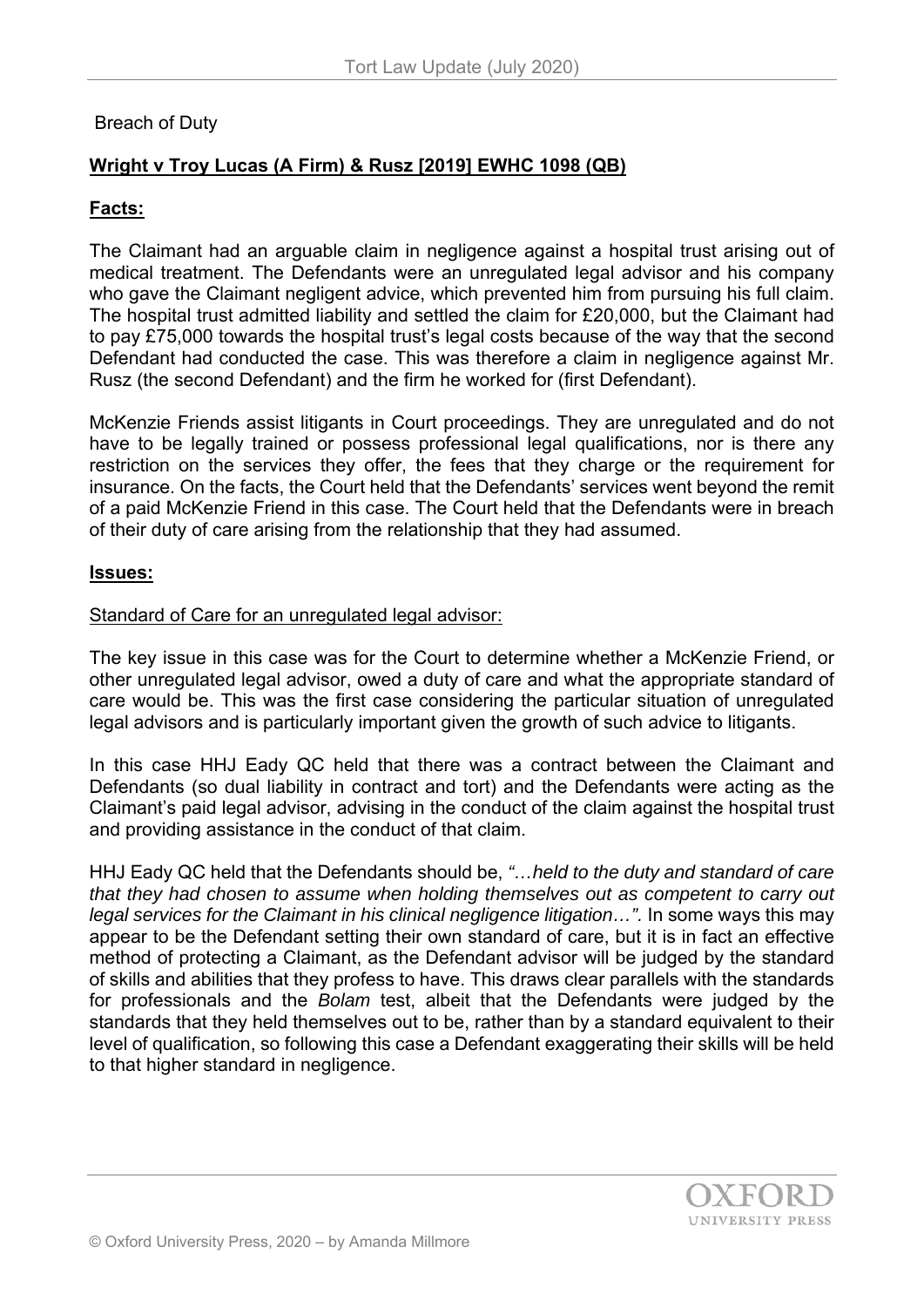# Breach of Duty

# **Wright v Troy Lucas (A Firm) & Rusz [2019] EWHC 1098 (QB)**

# **Facts:**

The Claimant had an arguable claim in negligence against a hospital trust arising out of medical treatment. The Defendants were an unregulated legal advisor and his company who gave the Claimant negligent advice, which prevented him from pursuing his full claim. The hospital trust admitted liability and settled the claim for £20,000, but the Claimant had to pay £75,000 towards the hospital trust's legal costs because of the way that the second Defendant had conducted the case. This was therefore a claim in negligence against Mr. Rusz (the second Defendant) and the firm he worked for (first Defendant).

McKenzie Friends assist litigants in Court proceedings. They are unregulated and do not have to be legally trained or possess professional legal qualifications, nor is there any restriction on the services they offer, the fees that they charge or the requirement for insurance. On the facts, the Court held that the Defendants' services went beyond the remit of a paid McKenzie Friend in this case. The Court held that the Defendants were in breach of their duty of care arising from the relationship that they had assumed.

## **Issues:**

## Standard of Care for an unregulated legal advisor:

The key issue in this case was for the Court to determine whether a McKenzie Friend, or other unregulated legal advisor, owed a duty of care and what the appropriate standard of care would be. This was the first case considering the particular situation of unregulated legal advisors and is particularly important given the growth of such advice to litigants.

In this case HHJ Eady QC held that there was a contract between the Claimant and Defendants (so dual liability in contract and tort) and the Defendants were acting as the Claimant's paid legal advisor, advising in the conduct of the claim against the hospital trust and providing assistance in the conduct of that claim.

HHJ Eady QC held that the Defendants should be, *"…held to the duty and standard of care that they had chosen to assume when holding themselves out as competent to carry out legal services for the Claimant in his clinical negligence litigation...".* In some ways this may appear to be the Defendant setting their own standard of care, but it is in fact an effective method of protecting a Claimant, as the Defendant advisor will be judged by the standard of skills and abilities that they profess to have. This draws clear parallels with the standards for professionals and the *Bolam* test, albeit that the Defendants were judged by the standards that they held themselves out to be, rather than by a standard equivalent to their level of qualification, so following this case a Defendant exaggerating their skills will be held to that higher standard in negligence.

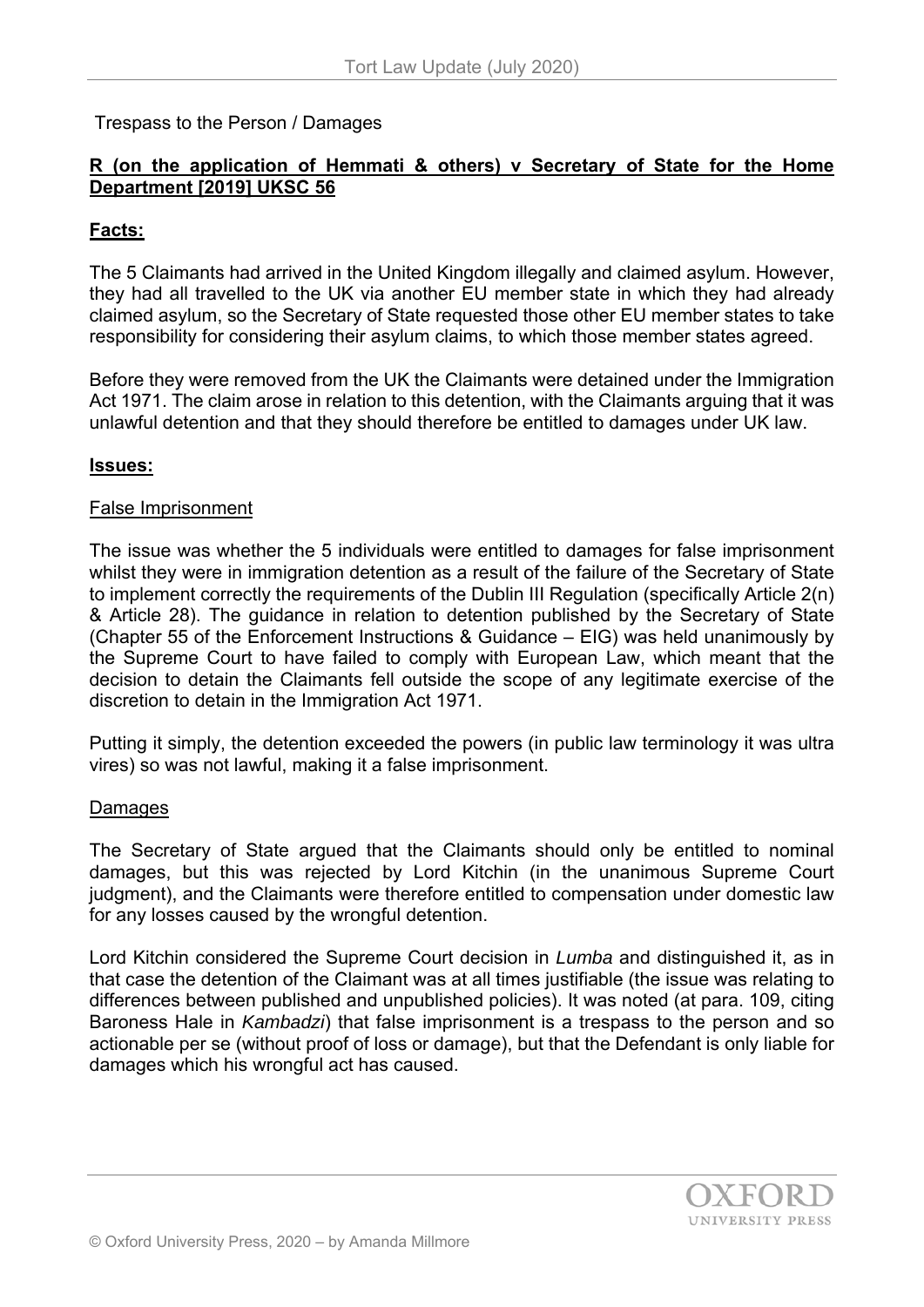Trespass to the Person / Damages

# **R (on the application of Hemmati & others) v Secretary of State for the Home Department [2019] UKSC 56**

## **Facts:**

The 5 Claimants had arrived in the United Kingdom illegally and claimed asylum. However, they had all travelled to the UK via another EU member state in which they had already claimed asylum, so the Secretary of State requested those other EU member states to take responsibility for considering their asylum claims, to which those member states agreed.

Before they were removed from the UK the Claimants were detained under the Immigration Act 1971. The claim arose in relation to this detention, with the Claimants arguing that it was unlawful detention and that they should therefore be entitled to damages under UK law.

### **Issues:**

#### False Imprisonment

The issue was whether the 5 individuals were entitled to damages for false imprisonment whilst they were in immigration detention as a result of the failure of the Secretary of State to implement correctly the requirements of the Dublin III Regulation (specifically Article 2(n) & Article 28). The guidance in relation to detention published by the Secretary of State (Chapter 55 of the Enforcement Instructions & Guidance – EIG) was held unanimously by the Supreme Court to have failed to comply with European Law, which meant that the decision to detain the Claimants fell outside the scope of any legitimate exercise of the discretion to detain in the Immigration Act 1971.

Putting it simply, the detention exceeded the powers (in public law terminology it was ultra vires) so was not lawful, making it a false imprisonment.

### Damages

The Secretary of State argued that the Claimants should only be entitled to nominal damages, but this was rejected by Lord Kitchin (in the unanimous Supreme Court judgment), and the Claimants were therefore entitled to compensation under domestic law for any losses caused by the wrongful detention.

Lord Kitchin considered the Supreme Court decision in *Lumba* and distinguished it, as in that case the detention of the Claimant was at all times justifiable (the issue was relating to differences between published and unpublished policies). It was noted (at para. 109, citing Baroness Hale in *Kambadzi*) that false imprisonment is a trespass to the person and so actionable per se (without proof of loss or damage), but that the Defendant is only liable for damages which his wrongful act has caused.